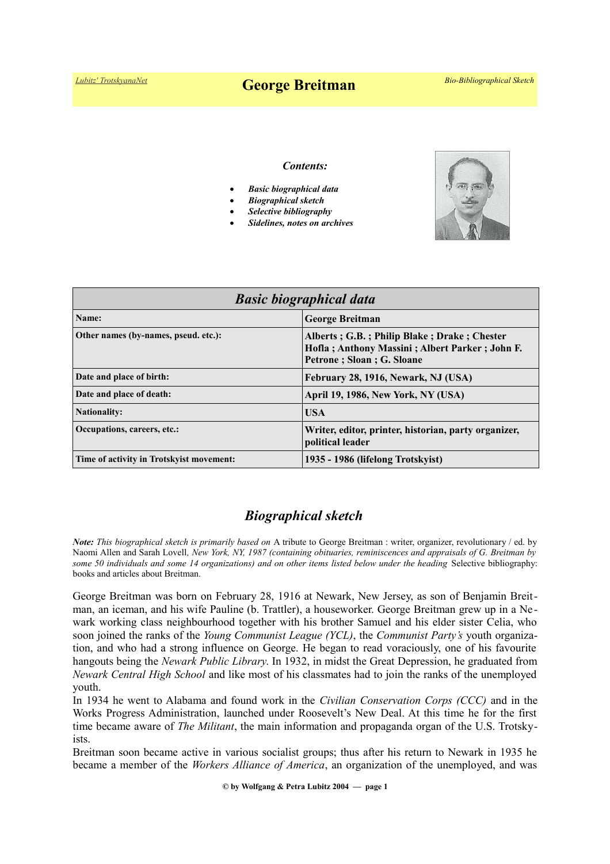# *[Lubitz' TrotskyanaNet](https://www.trotskyana.net/)* **George Breitman** *Bio-Bibliographical Sketch*

#### *Contents:*

- *Basic biographical data*
- *Biographical sketch*
- *Selective bibliography*
- *Sidelines, notes on archives*



| <b>Basic biographical data</b>           |                                                                                                                              |
|------------------------------------------|------------------------------------------------------------------------------------------------------------------------------|
| Name:                                    | <b>George Breitman</b>                                                                                                       |
| Other names (by-names, pseud. etc.):     | Alberts; G.B.; Philip Blake; Drake; Chester<br>Hofla; Anthony Massini; Albert Parker; John F.<br>Petrone ; Sloan ; G. Sloane |
| Date and place of birth:                 | February 28, 1916, Newark, NJ (USA)                                                                                          |
| Date and place of death:                 | April 19, 1986, New York, NY (USA)                                                                                           |
| <b>Nationality:</b>                      | <b>USA</b>                                                                                                                   |
| Occupations, careers, etc.:              | Writer, editor, printer, historian, party organizer,<br>political leader                                                     |
| Time of activity in Trotskyist movement: | 1935 - 1986 (lifelong Trotskyist)                                                                                            |

## *Biographical sketch*

*Note: This biographical sketch is primarily based on* A tribute to George Breitman : writer, organizer, revolutionary / ed. by Naomi Allen and Sarah Lovell*, New York, NY, 1987 (containing obituaries, reminiscences and appraisals of G. Breitman by some 50 individuals and some 14 organizations) and on other items listed below under the heading* Selective bibliography: books and articles about Breitman.

George Breitman was born on February 28, 1916 at Newark, New Jersey, as son of Benjamin Breitman, an iceman, and his wife Pauline (b. Trattler), a houseworker. George Breitman grew up in a Ne wark working class neighbourhood together with his brother Samuel and his elder sister Celia, who soon joined the ranks of the *Young Communist League (YCL)*, the *Communist Party's* youth organization, and who had a strong influence on George. He began to read voraciously, one of his favourite hangouts being the *Newark Public Library*. In 1932, in midst the Great Depression, he graduated from *Newark Central High School* and like most of his classmates had to join the ranks of the unemployed youth.

In 1934 he went to Alabama and found work in the *Civilian Conservation Corps (CCC)* and in the Works Progress Administration, launched under Roosevelt's New Deal. At this time he for the first time became aware of *The Militant*, the main information and propaganda organ of the U.S. Trotskyists.

Breitman soon became active in various socialist groups; thus after his return to Newark in 1935 he became a member of the *Workers Alliance of America*, an organization of the unemployed, and was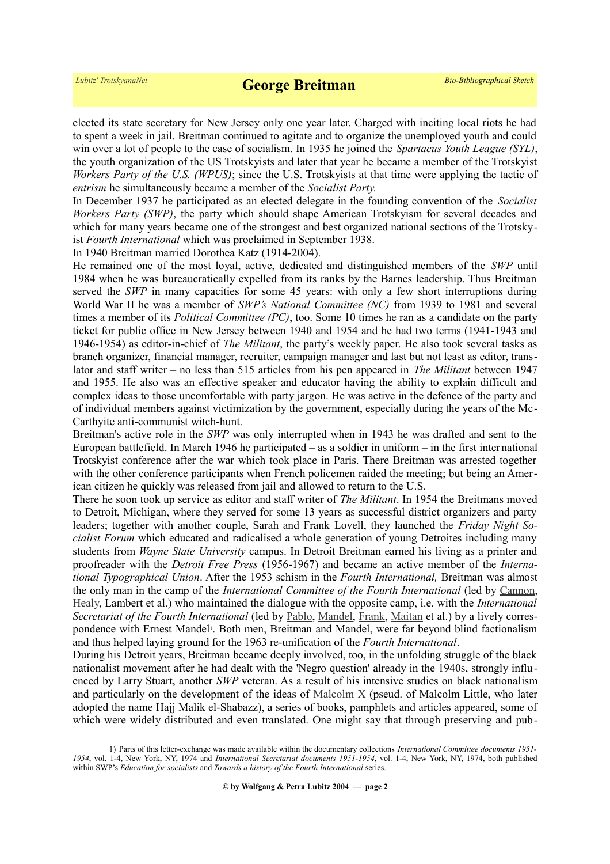elected its state secretary for New Jersey only one year later. Charged with inciting local riots he had to spent a week in jail. Breitman continued to agitate and to organize the unemployed youth and could win over a lot of people to the case of socialism. In 1935 he joined the *Spartacus Youth League (SYL)*, the youth organization of the US Trotskyists and later that year he became a member of the Trotskyist *Workers Party of the U.S. (WPUS)*; since the U.S. Trotskyists at that time were applying the tactic of *entrism* he simultaneously became a member of the *Socialist Party.*

In December 1937 he participated as an elected delegate in the founding convention of the *Socialist Workers Party (SWP)*, the party which should shape American Trotskyism for several decades and which for many years became one of the strongest and best organized national sections of the Trotskyist *Fourth International* which was proclaimed in September 1938.

In 1940 Breitman married Dorothea Katz (1914-2004).

He remained one of the most loyal, active, dedicated and distinguished members of the *SWP* until 1984 when he was bureaucratically expelled from its ranks by the Barnes leadership. Thus Breitman served the *SWP* in many capacities for some 45 years: with only a few short interruptions during World War II he was a member of *SWP's National Committee (NC)* from 1939 to 1981 and several times a member of its *Political Committee (PC)*, too. Some 10 times he ran as a candidate on the party ticket for public office in New Jersey between 1940 and 1954 and he had two terms (1941-1943 and 1946-1954) as editor-in-chief of *The Militant*, the party's weekly paper. He also took several tasks as branch organizer, financial manager, recruiter, campaign manager and last but not least as editor, translator and staff writer – no less than 515 articles from his pen appeared in *The Militant* between 1947 and 1955. He also was an effective speaker and educator having the ability to explain difficult and complex ideas to those uncomfortable with party jargon. He was active in the defence of the party and of individual members against victimization by the government, especially during the years of the Mc-Carthyite anti-communist witch-hunt.

Breitman's active role in the *SWP* was only interrupted when in 1943 he was drafted and sent to the European battlefield. In March 1946 he participated – as a soldier in uniform – in the first international Trotskyist conference after the war which took place in Paris. There Breitman was arrested together with the other conference participants when French policemen raided the meeting; but being an American citizen he quickly was released from jail and allowed to return to the U.S.

There he soon took up service as editor and staff writer of *The Militant*. In 1954 the Breitmans moved to Detroit, Michigan, where they served for some 13 years as successful district organizers and party leaders; together with another couple, Sarah and Frank Lovell, they launched the *Friday Night Socialist Forum* which educated and radicalised a whole generation of young Detroites including many students from *Wayne State University* campus. In Detroit Breitman earned his living as a printer and proofreader with the *Detroit Free Press* (1956-1967) and became an active member of the *International Typographical Union*. After the 1953 schism in the *Fourth International,* Breitman was almost the only man in the camp of the *International Committee of the Fourth International* (led by [Cannon,](https://www.trotskyana.net/Trotskyists/Bio-Bibliographies/bio-bibl_cannon.pdf) [Healy,](https://www.trotskyana.net/Trotskyists/Bio-Bibliographies/bio-bibl_healy.pdf) Lambert et al.) who maintained the dialogue with the opposite camp, i.e. with the *International Secretariat of the Fourth International* (led by [Pablo,](https://www.trotskyana.net/Trotskyists/Bio-Bibliographies/bio-bibl_pablo.pdf) [Mandel,](https://www.trotskyana.net/Trotskyists/Ernest_Mandel/ernest_mandel.html) [Frank,](https://www.trotskyana.net/Trotskyists/Bio-Bibliographies/bio-bibl_frank.pdf) [Maitan](https://www.trotskyana.net/Trotskyists/Bio-Bibliographies/bio-bibl_maitan.pdf) et al.) by a lively corres-pondence with Ernest Mandel<sup>[1](#page-1-0)</sup>. Both men, Breitman and Mandel, were far beyond blind factionalism and thus helped laying ground for the 1963 re-unification of the *Fourth International*.

During his Detroit years, Breitman became deeply involved, too, in the unfolding struggle of the black nationalist movement after he had dealt with the 'Negro question' already in the 1940s, strongly influenced by Larry Stuart, another *SWP* veteran. As a result of his intensive studies on black nationalism and particularly on the development of the ideas of  $Malcolm X$  (pseud. of Malcolm Little, who later adopted the name Hajj Malik el-Shabazz), a series of books, pamphlets and articles appeared, some of which were widely distributed and even translated. One might say that through preserving and pub-

<span id="page-1-0"></span><sup>1)</sup> Parts of this letter-exchange was made available within the documentary collections *International Committee documents 1951- 1954*, vol. 1-4, New York, NY, 1974 and *International Secretariat documents 1951-1954*, vol. 1-4, New York, NY, 1974, both published within SWP's *Education for socialists* and *Towards a history of the Fourth International* series.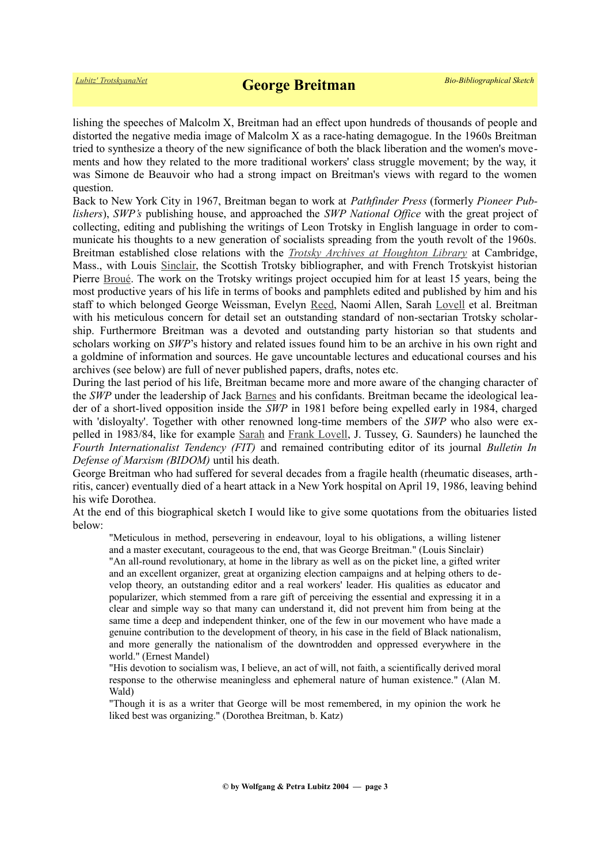lishing the speeches of Malcolm X, Breitman had an effect upon hundreds of thousands of people and distorted the negative media image of Malcolm X as a race-hating demagogue. In the 1960s Breitman tried to synthesize a theory of the new significance of both the black liberation and the women's movements and how they related to the more traditional workers' class struggle movement; by the way, it was Simone de Beauvoir who had a strong impact on Breitman's views with regard to the women question.

Back to New York City in 1967, Breitman began to work at *Pathfinder Press* (formerly *Pioneer Publishers*), *SWP's* publishing house, and approached the *SWP National Office* with the great project of collecting, editing and publishing the writings of Leon Trotsky in English language in order to communicate his thoughts to a new generation of socialists spreading from the youth revolt of the 1960s. Breitman established close relations with the *[Trotsky Archives at Houghton Library](https://www.trotskyana.net/Research_facilities/PublicArchives_America/publicarchives_america.html#houghton)* at Cambridge, Mass., with Louis [Sinclair,](https://www.trotskyana.net/Trotskyists/Louis_Sinclair/sinclair.htm) the Scottish Trotsky bibliographer, and with French Trotskyist historian Pierre [Broué.](https://www.trotskyana.net/Trotskyists/Pierre_Broue/pierre_broue.html) The work on the Trotsky writings project occupied him for at least 15 years, being the most productive years of his life in terms of books and pamphlets edited and published by him and his staff to which belonged George Weissman, Evelyn [Reed,](https://www.trotskyana.net/Trotskyists/Bio-Bibliographies/bio-bibl_reed.pdf) Naomi Allen, Sarah [Lovell](https://www.trotskyana.net/Trotskyists/Bio-Bibliographies/bio-bibl_lovell_s.pdf) et al. Breitman with his meticulous concern for detail set an outstanding standard of non-sectarian Trotsky scholarship. Furthermore Breitman was a devoted and outstanding party historian so that students and scholars working on *SWP*'s history and related issues found him to be an archive in his own right and a goldmine of information and sources. He gave uncountable lectures and educational courses and his archives (see below) are full of never published papers, drafts, notes etc.

During the last period of his life, Breitman became more and more aware of the changing character of the *SWP* under the leadership of Jack [Barnes](https://en.wikipedia.org/wiki/Jack_Barnes) and his confidants. Breitman became the ideological leader of a short-lived opposition inside the *SWP* in 1981 before being expelled early in 1984, charged with 'disloyalty'. Together with other renowned long-time members of the *SWP* who also were expelled in 1983/84, like for example [Sarah](https://www.trotskyana.net/Trotskyists/Bio-Bibliographies/bio-bibl_lovell_s.pdf) and [Frank Lovell,](https://www.trotskyana.net/Trotskyists/Bio-Bibliographies/bio-bibl_lovell_f.pdf) J. Tussey, G. Saunders) he launched the *Fourth Internationalist Tendency (FIT)* and remained contributing editor of its journal *Bulletin In Defense of Marxism (BIDOM)* until his death.

George Breitman who had suffered for several decades from a fragile health (rheumatic diseases, arth ritis, cancer) eventually died of a heart attack in a New York hospital on April 19, 1986, leaving behind his wife Dorothea.

At the end of this biographical sketch I would like to give some quotations from the obituaries listed below:

"Meticulous in method, persevering in endeavour, loyal to his obligations, a willing listener and a master executant, courageous to the end, that was George Breitman." (Louis Sinclair)

"An all-round revolutionary, at home in the library as well as on the picket line, a gifted writer and an excellent organizer, great at organizing election campaigns and at helping others to develop theory, an outstanding editor and a real workers' leader. His qualities as educator and popularizer, which stemmed from a rare gift of perceiving the essential and expressing it in a clear and simple way so that many can understand it, did not prevent him from being at the same time a deep and independent thinker, one of the few in our movement who have made a genuine contribution to the development of theory, in his case in the field of Black nationalism, and more generally the nationalism of the downtrodden and oppressed everywhere in the world." (Ernest Mandel)

"His devotion to socialism was, I believe, an act of will, not faith, a scientifically derived moral response to the otherwise meaningless and ephemeral nature of human existence." (Alan M. Wald)

"Though it is as a writer that George will be most remembered, in my opinion the work he liked best was organizing." (Dorothea Breitman, b. Katz)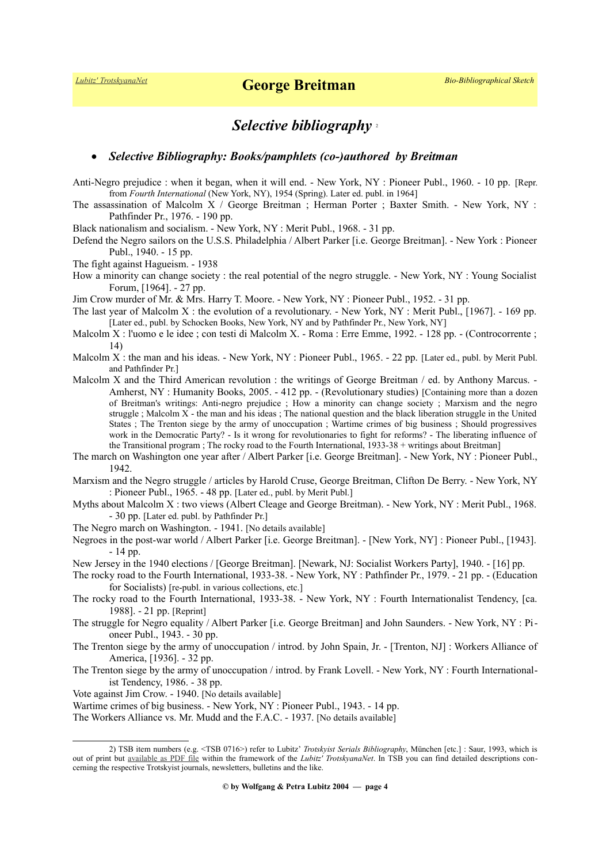### *Selective bibliography* [2](#page-3-0)

#### *Selective Bibliography: Books/pamphlets (co-)authored by Breitman*

Anti-Negro prejudice : when it began, when it will end. - New York, NY : Pioneer Publ., 1960. - 10 pp. [Repr. from *Fourth International* (New York, NY), 1954 (Spring). Later ed. publ. in 1964]

The assassination of Malcolm X / George Breitman ; Herman Porter ; Baxter Smith. - New York, NY : Pathfinder Pr., 1976. - 190 pp.

Black nationalism and socialism. - New York, NY : Merit Publ., 1968. - 31 pp.

Defend the Negro sailors on the U.S.S. Philadelphia / Albert Parker [i.e. George Breitman]. - New York : Pioneer Publ., 1940. - 15 pp.

The fight against Hagueism. - 1938

How a minority can change society : the real potential of the negro struggle. - New York, NY : Young Socialist Forum, [1964]. - 27 pp.

Jim Crow murder of Mr. & Mrs. Harry T. Moore. - New York, NY : Pioneer Publ., 1952. - 31 pp.

- The last year of Malcolm X : the evolution of a revolutionary. New York, NY : Merit Publ., [1967]. 169 pp. [Later ed., publ. by Schocken Books, New York, NY and by Pathfinder Pr., New York, NY]
- Malcolm X : l'uomo e le idee ; con testi di Malcolm X. Roma : Erre Emme, 1992. 128 pp. (Controcorrente ; 14)
- Malcolm X : the man and his ideas. New York, NY : Pioneer Publ., 1965. 22 pp. [Later ed., publ. by Merit Publ. and Pathfinder Pr.]
- Malcolm X and the Third American revolution : the writings of George Breitman / ed. by Anthony Marcus. -Amherst, NY : Humanity Books, 2005. - 412 pp. - (Revolutionary studies) [Containing more than a dozen of Breitman's writings: Anti-negro prejudice ; How a minority can change society ; Marxism and the negro struggle ; Malcolm X - the man and his ideas ; The national question and the black liberation struggle in the United States ; The Trenton siege by the army of unoccupation ; Wartime crimes of big business ; Should progressives work in the Democratic Party? - Is it wrong for revolutionaries to fight for reforms? - The liberating influence of the Transitional program ; The rocky road to the Fourth International, 1933-38 + writings about Breitman]
- The march on Washington one year after / Albert Parker [i.e. George Breitman]. New York, NY : Pioneer Publ., 1942.

Marxism and the Negro struggle / articles by Harold Cruse, George Breitman, Clifton De Berry. - New York, NY : Pioneer Publ., 1965. - 48 pp. [Later ed., publ. by Merit Publ.]

- Myths about Malcolm X : two views (Albert Cleage and George Breitman). New York, NY : Merit Publ., 1968. - 30 pp. [Later ed. publ. by Pathfinder Pr.]
- The Negro march on Washington. 1941. [No details available]

Negroes in the post-war world / Albert Parker [i.e. George Breitman]. - [New York, NY] : Pioneer Publ., [1943]. - 14 pp.

New Jersey in the 1940 elections / [George Breitman]. [Newark, NJ: Socialist Workers Party], 1940. - [16] pp.

The rocky road to the Fourth International, 1933-38. - New York, NY : Pathfinder Pr., 1979. - 21 pp. - (Education for Socialists) [re-publ. in various collections, etc.]

The rocky road to the Fourth International, 1933-38. - New York, NY : Fourth Internationalist Tendency, [ca. 1988]. - 21 pp. [Reprint]

The struggle for Negro equality / Albert Parker [i.e. George Breitman] and John Saunders. - New York, NY : Pioneer Publ., 1943. - 30 pp.

The Trenton siege by the army of unoccupation / introd. by John Spain, Jr. - [Trenton, NJ] : Workers Alliance of America, [1936]. - 32 pp.

The Trenton siege by the army of unoccupation / introd. by Frank Lovell. - New York, NY : Fourth Internationalist Tendency, 1986. - 38 pp.

Vote against Jim Crow. - 1940. [No details available]

Wartime crimes of big business. - New York, NY : Pioneer Publ., 1943. - 14 pp.

The Workers Alliance vs. Mr. Mudd and the F.A.C. - 1937. [No details available]

<span id="page-3-0"></span><sup>2)</sup> TSB item numbers (e.g. <TSB 0716>) refer to Lubitz' *Trotskyist Serials Bibliography*, München [etc.] : Saur, 1993, which is out of print but [available as PDF file](https://www.trotskyana.net/LubitzBibliographies/Serials_Bibliography/serials_bibliography.htm#PDF) within the framework of the *Lubitz' TrotskyanaNet*. In TSB you can find detailed descriptions concerning the respective Trotskyist journals, newsletters, bulletins and the like.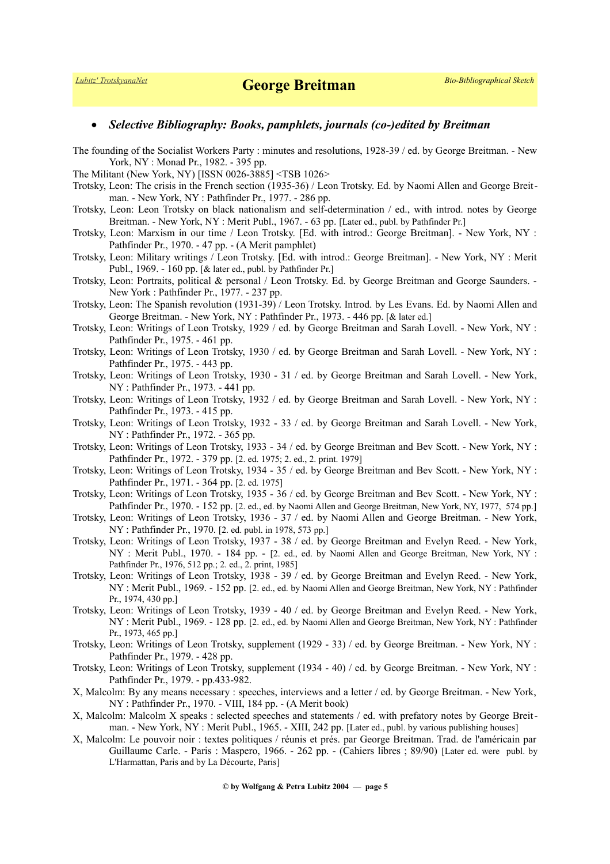#### *Selective Bibliography: Books, pamphlets, journals (co-)edited by Breitman*

- The founding of the Socialist Workers Party : minutes and resolutions, 1928-39 / ed. by George Breitman. New York, NY : Monad Pr., 1982. - 395 pp.
- The Militant (New York, NY) [ISSN 0026-3885] <TSB 1026>
- Trotsky, Leon: The crisis in the French section (1935-36) / Leon Trotsky. Ed. by Naomi Allen and George Breitman. - New York, NY : Pathfinder Pr., 1977. - 286 pp.
- Trotsky, Leon: Leon Trotsky on black nationalism and self-determination / ed., with introd. notes by George Breitman. - New York, NY : Merit Publ., 1967. - 63 pp. [Later ed., publ. by Pathfinder Pr.]
- Trotsky, Leon: Marxism in our time / Leon Trotsky. [Ed. with introd.: George Breitman]. New York, NY : Pathfinder Pr., 1970. - 47 pp. - (A Merit pamphlet)
- Trotsky, Leon: Military writings / Leon Trotsky. [Ed. with introd.: George Breitman]. New York, NY : Merit Publ., 1969. - 160 pp. [& later ed., publ. by Pathfinder Pr.]
- Trotsky, Leon: Portraits, political & personal / Leon Trotsky. Ed. by George Breitman and George Saunders. New York : Pathfinder Pr., 1977. - 237 pp.
- Trotsky, Leon: The Spanish revolution (1931-39) / Leon Trotsky. Introd. by Les Evans. Ed. by Naomi Allen and George Breitman. - New York, NY : Pathfinder Pr., 1973. - 446 pp. [& later ed.]
- Trotsky, Leon: Writings of Leon Trotsky, 1929 / ed. by George Breitman and Sarah Lovell. New York, NY : Pathfinder Pr., 1975. - 461 pp.
- Trotsky, Leon: Writings of Leon Trotsky, 1930 / ed. by George Breitman and Sarah Lovell. New York, NY : Pathfinder Pr., 1975. - 443 pp.
- Trotsky, Leon: Writings of Leon Trotsky, 1930 31 / ed. by George Breitman and Sarah Lovell. New York, NY : Pathfinder Pr., 1973. - 441 pp.
- Trotsky, Leon: Writings of Leon Trotsky, 1932 / ed. by George Breitman and Sarah Lovell. New York, NY : Pathfinder Pr., 1973. - 415 pp.
- Trotsky, Leon: Writings of Leon Trotsky, 1932 33 / ed. by George Breitman and Sarah Lovell. New York, NY : Pathfinder Pr., 1972. - 365 pp.
- Trotsky, Leon: Writings of Leon Trotsky, 1933 34 / ed. by George Breitman and Bev Scott. New York, NY : Pathfinder Pr., 1972. - 379 pp. [2. ed. 1975; 2. ed., 2. print. 1979]
- Trotsky, Leon: Writings of Leon Trotsky, 1934 35 / ed. by George Breitman and Bev Scott. New York, NY : Pathfinder Pr., 1971. - 364 pp. [2. ed. 1975]
- Trotsky, Leon: Writings of Leon Trotsky, 1935 36 / ed. by George Breitman and Bev Scott. New York, NY : Pathfinder Pr., 1970. - 152 pp. [2. ed., ed. by Naomi Allen and George Breitman, New York, NY, 1977, 574 pp.]
- Trotsky, Leon: Writings of Leon Trotsky, 1936 37 / ed. by Naomi Allen and George Breitman. New York, NY : Pathfinder Pr., 1970. [2. ed. publ. in 1978, 573 pp.]
- Trotsky, Leon: Writings of Leon Trotsky, 1937 38 / ed. by George Breitman and Evelyn Reed. New York, NY : Merit Publ., 1970. - 184 pp. - [2. ed., ed. by Naomi Allen and George Breitman, New York, NY : Pathfinder Pr., 1976, 512 pp.; 2. ed., 2. print, 1985]
- Trotsky, Leon: Writings of Leon Trotsky, 1938 39 / ed. by George Breitman and Evelyn Reed. New York, NY : Merit Publ., 1969. - 152 pp. [2. ed., ed. by Naomi Allen and George Breitman, New York, NY : Pathfinder Pr., 1974, 430 pp.]
- Trotsky, Leon: Writings of Leon Trotsky, 1939 40 / ed. by George Breitman and Evelyn Reed. New York, NY : Merit Publ., 1969. - 128 pp. [2. ed., ed. by Naomi Allen and George Breitman, New York, NY : Pathfinder Pr., 1973, 465 pp.]
- Trotsky, Leon: Writings of Leon Trotsky, supplement (1929 33) / ed. by George Breitman. New York, NY : Pathfinder Pr., 1979. - 428 pp.
- Trotsky, Leon: Writings of Leon Trotsky, supplement (1934 40) / ed. by George Breitman. New York, NY : Pathfinder Pr., 1979. - pp.433-982.
- X, Malcolm: By any means necessary : speeches, interviews and a letter / ed. by George Breitman. New York, NY : Pathfinder Pr., 1970. - VIII, 184 pp. - (A Merit book)
- X, Malcolm: Malcolm X speaks : selected speeches and statements / ed. with prefatory notes by George Breitman. - New York, NY : Merit Publ., 1965. - XIII, 242 pp. [Later ed., publ. by various publishing houses]
- X, Malcolm: Le pouvoir noir : textes politiques / réunis et prés. par George Breitman. Trad. de l'américain par Guillaume Carle. - Paris : Maspero, 1966. - 262 pp. - (Cahiers libres ; 89/90) [Later ed. were publ. by L'Harmattan, Paris and by La Décourte, Paris]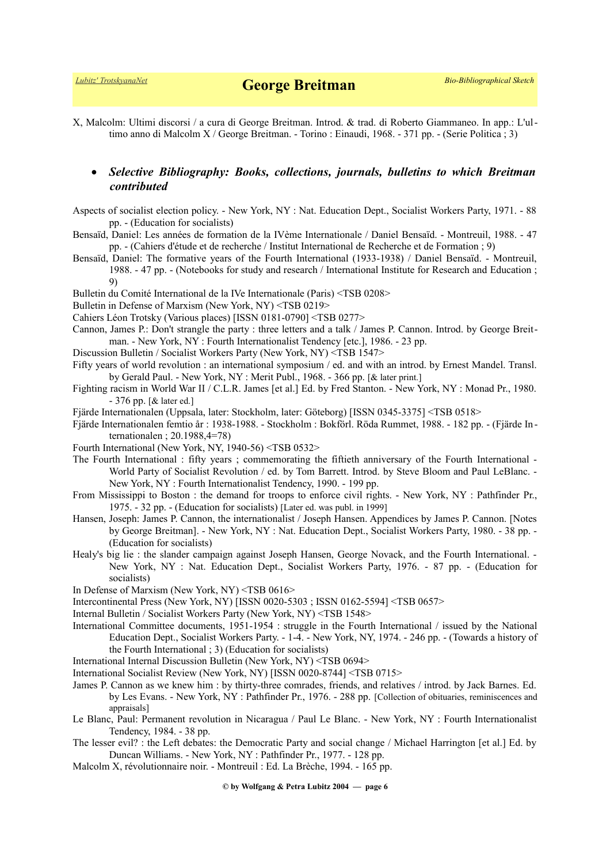X, Malcolm: Ultimi discorsi / a cura di George Breitman. Introd. & trad. di Roberto Giammaneo. In app.: L'ultimo anno di Malcolm X / George Breitman. - Torino : Einaudi, 1968. - 371 pp. - (Serie Politica ; 3)

### *Selective Bibliography: Books, collections, journals, bulletins to which Breitman contributed*

Aspects of socialist election policy. - New York, NY : Nat. Education Dept., Socialist Workers Party, 1971. - 88 pp. - (Education for socialists)

Bensaïd, Daniel: Les années de formation de la IVème Internationale / Daniel Bensaïd. - Montreuil, 1988. - 47 pp. - (Cahiers d'étude et de recherche / Institut International de Recherche et de Formation ; 9)

Bensaïd, Daniel: The formative years of the Fourth International (1933-1938) / Daniel Bensaïd. - Montreuil, 1988. - 47 pp. - (Notebooks for study and research / International Institute for Research and Education ; 9)

Bulletin du Comité International de la IVe Internationale (Paris) <TSB 0208>

Bulletin in Defense of Marxism (New York, NY) <TSB 0219>

Cahiers Léon Trotsky (Various places) [ISSN 0181-0790] <TSB 0277>

- Cannon, James P.: Don't strangle the party : three letters and a talk / James P. Cannon. Introd. by George Breitman. - New York, NY : Fourth Internationalist Tendency [etc.], 1986. - 23 pp.
- Discussion Bulletin / Socialist Workers Party (New York, NY) <TSB 1547>
- Fifty years of world revolution : an international symposium / ed. and with an introd. by Ernest Mandel. Transl. by Gerald Paul. - New York, NY : Merit Publ., 1968. - 366 pp. [& later print.]
- Fighting racism in World War II / C.L.R. James [et al.] Ed. by Fred Stanton. New York, NY : Monad Pr., 1980. - 376 pp. [& later ed.]

Fjärde Internationalen (Uppsala, later: Stockholm, later: Göteborg) [ISSN 0345-3375] <TSB 0518>

Fjärde Internationalen femtio år : 1938-1988. - Stockholm : Bokförl. Röda Rummet, 1988. - 182 pp. - (Fjärde In ternationalen ; 20.1988,4=78)

Fourth International (New York, NY, 1940-56) <TSB 0532>

- The Fourth International : fifty years ; commemorating the fiftieth anniversary of the Fourth International World Party of Socialist Revolution / ed. by Tom Barrett. Introd. by Steve Bloom and Paul LeBlanc. - New York, NY : Fourth Internationalist Tendency, 1990. - 199 pp.
- From Mississippi to Boston : the demand for troops to enforce civil rights. New York, NY : Pathfinder Pr., 1975. - 32 pp. - (Education for socialists) [Later ed. was publ. in 1999]
- Hansen, Joseph: James P. Cannon, the internationalist / Joseph Hansen. Appendices by James P. Cannon. [Notes by George Breitman]. - New York, NY : Nat. Education Dept., Socialist Workers Party, 1980. - 38 pp. - (Education for socialists)
- Healy's big lie : the slander campaign against Joseph Hansen, George Novack, and the Fourth International. New York, NY : Nat. Education Dept., Socialist Workers Party, 1976. - 87 pp. - (Education for socialists)
- In Defense of Marxism (New York, NY) <TSB 0616>
- Intercontinental Press (New York, NY) [ISSN 0020-5303 ; ISSN 0162-5594] <TSB 0657>
- Internal Bulletin / Socialist Workers Party (New York, NY) <TSB 1548>
- International Committee documents, 1951-1954 : struggle in the Fourth International / issued by the National Education Dept., Socialist Workers Party. - 1-4. - New York, NY, 1974. - 246 pp. - (Towards a history of the Fourth International ; 3) (Education for socialists)

International Internal Discussion Bulletin (New York, NY) <TSB 0694>

- International Socialist Review (New York, NY) [ISSN 0020-8744] <TSB 0715>
- James P. Cannon as we knew him : by thirty-three comrades, friends, and relatives / introd. by Jack Barnes. Ed. by Les Evans. - New York, NY : Pathfinder Pr., 1976. - 288 pp. [Collection of obituaries, reminiscences and appraisals]
- Le Blanc, Paul: Permanent revolution in Nicaragua / Paul Le Blanc. New York, NY : Fourth Internationalist Tendency, 1984. - 38 pp.
- The lesser evil? : the Left debates: the Democratic Party and social change / Michael Harrington [et al.] Ed. by Duncan Williams. - New York, NY : Pathfinder Pr., 1977. - 128 pp.
- Malcolm X, révolutionnaire noir. Montreuil : Ed. La Brèche, 1994. 165 pp.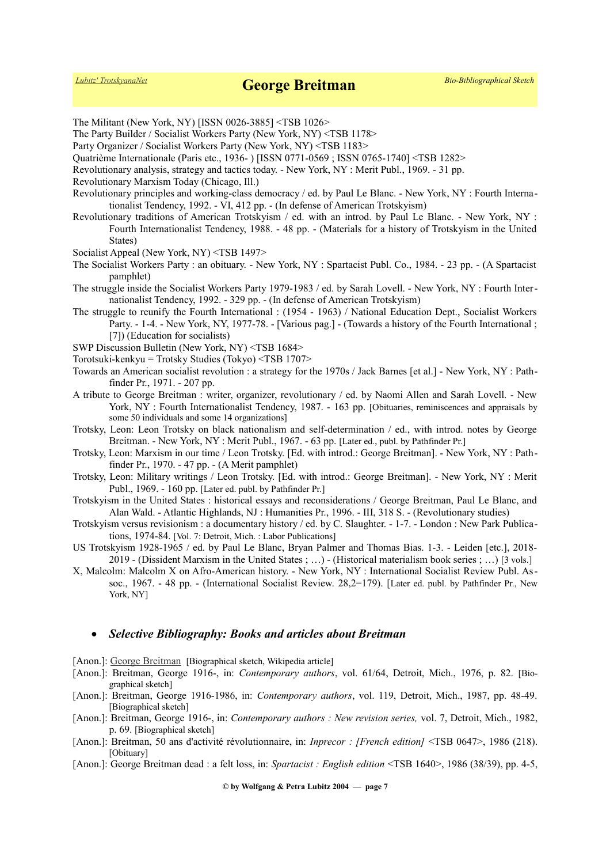The Militant (New York, NY) [ISSN 0026-3885] <TSB 1026> The Party Builder / Socialist Workers Party (New York, NY) <TSB 1178> Party Organizer / Socialist Workers Party (New York, NY) <TSB 1183> Quatrième Internationale (Paris etc., 1936- ) [ISSN 0771-0569 ; ISSN 0765-1740] <TSB 1282> Revolutionary analysis, strategy and tactics today. - New York, NY : Merit Publ., 1969. - 31 pp. Revolutionary Marxism Today (Chicago, Ill.) Revolutionary principles and working-class democracy / ed. by Paul Le Blanc. - New York, NY : Fourth Internationalist Tendency, 1992. - VI, 412 pp. - (In defense of American Trotskyism) Revolutionary traditions of American Trotskyism / ed. with an introd. by Paul Le Blanc. - New York, NY : Fourth Internationalist Tendency, 1988. - 48 pp. - (Materials for a history of Trotskyism in the United States) Socialist Appeal (New York, NY) <TSB 1497> The Socialist Workers Party : an obituary. - New York, NY : Spartacist Publ. Co., 1984. - 23 pp. - (A Spartacist pamphlet) The struggle inside the Socialist Workers Party 1979-1983 / ed. by Sarah Lovell. - New York, NY : Fourth Internationalist Tendency, 1992. - 329 pp. - (In defense of American Trotskyism) The struggle to reunify the Fourth International : (1954 - 1963) / National Education Dept., Socialist Workers Party. - 1-4. - New York, NY, 1977-78. - [Various pag.] - (Towards a history of the Fourth International ; [7]) (Education for socialists) SWP Discussion Bulletin (New York, NY) <TSB 1684> Torotsuki-kenkyu = Trotsky Studies (Tokyo) <TSB 1707> Towards an American socialist revolution : a strategy for the 1970s / Jack Barnes [et al.] - New York, NY : Pathfinder Pr., 1971. - 207 pp. A tribute to George Breitman : writer, organizer, revolutionary / ed. by Naomi Allen and Sarah Lovell. - New York, NY : Fourth Internationalist Tendency, 1987. - 163 pp. [Obituaries, reminiscences and appraisals by some 50 individuals and some 14 organizations] Trotsky, Leon: Leon Trotsky on black nationalism and self-determination / ed., with introd. notes by George Breitman. - New York, NY : Merit Publ., 1967. - 63 pp. [Later ed., publ. by Pathfinder Pr.] Trotsky, Leon: Marxism in our time / Leon Trotsky. [Ed. with introd.: George Breitman]. - New York, NY : Pathfinder Pr., 1970. - 47 pp. - (A Merit pamphlet) Trotsky, Leon: Military writings / Leon Trotsky. [Ed. with introd.: George Breitman]. - New York, NY : Merit Publ., 1969. - 160 pp. [Later ed. publ. by Pathfinder Pr.] Trotskyism in the United States : historical essays and reconsiderations / George Breitman, Paul Le Blanc, and Alan Wald. - Atlantic Highlands, NJ : Humanities Pr., 1996. - III, 318 S. - (Revolutionary studies) Trotskyism versus revisionism : a documentary history / ed. by C. Slaughter. - 1-7. - London : New Park Publications, 1974-84. [Vol. 7: Detroit, Mich. : Labor Publications] US Trotskyism 1928-1965 / ed. by Paul Le Blanc, Bryan Palmer and Thomas Bias. 1-3. - Leiden [etc.], 2018- 2019 - (Dissident Marxism in the United States ; …) - (Historical materialism book series ; …) [3 vols.] X, Malcolm: Malcolm X on Afro-American history. - New York, NY : International Socialist Review Publ. Assoc., 1967. - 48 pp. - (International Socialist Review. 28,2=179). [Later ed. publ. by Pathfinder Pr., New York, NY]

### *Selective Bibliography: Books and articles about Breitman*

[Anon.]: [George Breitman](https://en.wikipedia.org/wiki/George_Breitman) [Biographical sketch, Wikipedia article]

- [Anon.]: Breitman, George 1916-, in: *Contemporary authors*, vol. 61/64, Detroit, Mich., 1976, p. 82. [Biographical sketch]
- [Anon.]: Breitman, George 1916-1986, in: *Contemporary authors*, vol. 119, Detroit, Mich., 1987, pp. 48-49. [Biographical sketch]
- [Anon.]: Breitman, George 1916-, in: *Contemporary authors : New revision series,* vol. 7, Detroit, Mich., 1982, p. 69. [Biographical sketch]
- [Anon.]: Breitman, 50 ans d'activité révolutionnaire, in: *Inprecor : [French edition]* <TSB 0647>, 1986 (218). [Obituary]
- [Anon.]: George Breitman dead : a felt loss, in: *Spartacist : English edition* <TSB 1640>, 1986 (38/39), pp. 4-5,

**© by Wolfgang & Petra Lubitz 2004 — page 7**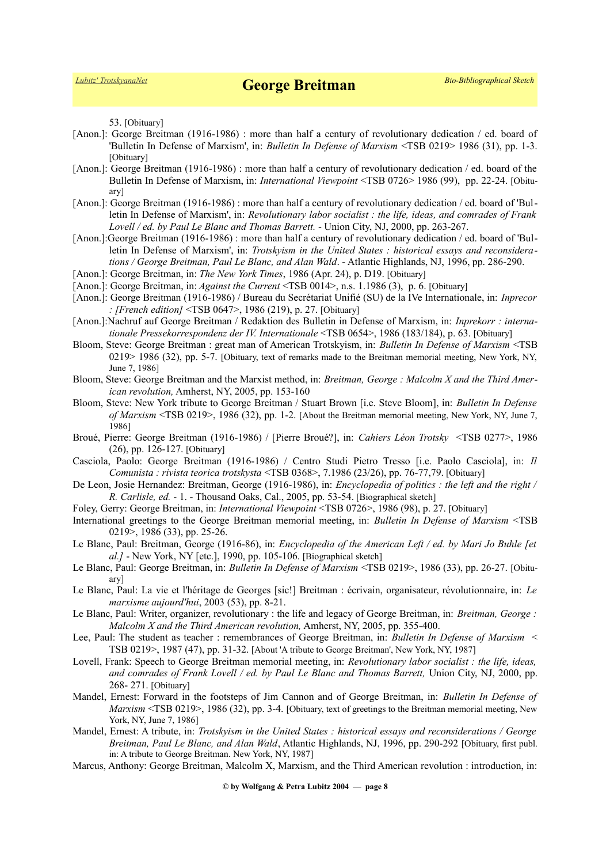53. [Obituary]

- [Anon.]: George Breitman (1916-1986) : more than half a century of revolutionary dedication / ed. board of 'Bulletin In Defense of Marxism', in: *Bulletin In Defense of Marxism* <TSB 0219> 1986 (31), pp. 1-3. [Obituary]
- [Anon.]: George Breitman (1916-1986) : more than half a century of revolutionary dedication / ed. board of the Bulletin In Defense of Marxism, in: *International Viewpoint* <TSB 0726> 1986 (99), pp. 22-24. [Obituary]
- [Anon.]: George Breitman (1916-1986) : more than half a century of revolutionary dedication / ed. board of 'Bulletin In Defense of Marxism', in: *Revolutionary labor socialist : the life, ideas, and comrades of Frank Lovell / ed. by Paul Le Blanc and Thomas Barrett.* - Union City, NJ, 2000, pp. 263-267.
- [Anon.]:George Breitman (1916-1986) : more than half a century of revolutionary dedication / ed. board of 'Bulletin In Defense of Marxism', in: *Trotskyism in the United States : historical essays and reconsiderations / George Breitman, Paul Le Blanc, and Alan Wald*. - Atlantic Highlands, NJ, 1996, pp. 286-290.
- [Anon.]: George Breitman, in: *The New York Times*, 1986 (Apr. 24), p. D19. [Obituary]
- [Anon.]: George Breitman, in: *Against the Current* <TSB 0014>, n.s. 1.1986 (3), p. 6. [Obituary]
- [Anon.]: George Breitman (1916-1986) / Bureau du Secrétariat Unifié (SU) de la IVe Internationale, in: *Inprecor : [French edition]* <TSB 0647>, 1986 (219), p. 27. [Obituary]
- [Anon.]:Nachruf auf George Breitman / Redaktion des Bulletin in Defense of Marxism, in: *Inprekorr : internationale Pressekorrespondenz der IV. Internationale* <TSB 0654>, 1986 (183/184), p. 63. [Obituary]
- Bloom, Steve: George Breitman : great man of American Trotskyism, in: *Bulletin In Defense of Marxism* <TSB 0219> 1986 (32), pp. 5-7. [Obituary, text of remarks made to the Breitman memorial meeting, New York, NY, June 7, 1986]
- Bloom, Steve: George Breitman and the Marxist method, in: *Breitman, George : Malcolm X and the Third American revolution,* Amherst, NY, 2005, pp. 153-160
- Bloom, Steve: New York tribute to George Breitman / Stuart Brown [i.e. Steve Bloom], in: *Bulletin In Defense of Marxism* <TSB 0219>, 1986 (32), pp. 1-2. [About the Breitman memorial meeting, New York, NY, June 7, 1986]
- Broué, Pierre: George Breitman (1916-1986) / [Pierre Broué?], in: *Cahiers Léon Trotsky* <TSB 0277>, 1986 (26), pp. 126-127. [Obituary]
- Casciola, Paolo: George Breitman (1916-1986) / Centro Studi Pietro Tresso [i.e. Paolo Casciola], in: *Il Comunista : rivista teorica trotskysta* <TSB 0368>, 7.1986 (23/26), pp. 76-77,79. [Obituary]
- De Leon, Josie Hernandez: Breitman, George (1916-1986), in: *Encyclopedia of politics : the left and the right / R. Carlisle, ed.* - 1. - Thousand Oaks, Cal., 2005, pp. 53-54. [Biographical sketch]
- Foley, Gerry: George Breitman, in: *International Viewpoint* <TSB 0726>, 1986 (98), p. 27. [Obituary]
- International greetings to the George Breitman memorial meeting, in: *Bulletin In Defense of Marxism* <TSB 0219>, 1986 (33), pp. 25-26.
- Le Blanc, Paul: Breitman, George (1916-86), in: *Encyclopedia of the American Left / ed. by Mari Jo Buhle [et al.]* - New York, NY [etc.], 1990, pp. 105-106. [Biographical sketch]
- Le Blanc, Paul: George Breitman, in: *Bulletin In Defense of Marxism* <TSB 0219>, 1986 (33), pp. 26-27. [Obituary]
- Le Blanc, Paul: La vie et l'héritage de Georges [sic!] Breitman : écrivain, organisateur, révolutionnaire, in: *Le marxisme aujourd'hui*, 2003 (53), pp. 8-21.
- Le Blanc, Paul: Writer, organizer, revolutionary : the life and legacy of George Breitman, in: *Breitman, George : Malcolm X and the Third American revolution,* Amherst, NY, 2005, pp. 355-400.
- Lee, Paul: The student as teacher : remembrances of George Breitman, in: *Bulletin In Defense of Marxism* < TSB 0219>, 1987 (47), pp. 31-32. [About 'A tribute to George Breitman', New York, NY, 1987]
- Lovell, Frank: Speech to George Breitman memorial meeting, in: *Revolutionary labor socialist : the life, ideas, and comrades of Frank Lovell / ed. by Paul Le Blanc and Thomas Barrett,* Union City, NJ, 2000, pp. 268- 271. [Obituary]
- Mandel, Ernest: Forward in the footsteps of Jim Cannon and of George Breitman, in: *Bulletin In Defense of Marxism* <TSB 0219>, 1986 (32), pp. 3-4. [Obituary, text of greetings to the Breitman memorial meeting, New York, NY, June 7, 1986]
- Mandel, Ernest: A tribute, in: *Trotskyism in the United States : historical essays and reconsiderations / George Breitman, Paul Le Blanc, and Alan Wald*, Atlantic Highlands, NJ, 1996, pp. 290-292 [Obituary, first publ. in: A tribute to George Breitman. New York, NY, 1987]
- Marcus, Anthony: George Breitman, Malcolm X, Marxism, and the Third American revolution : introduction, in: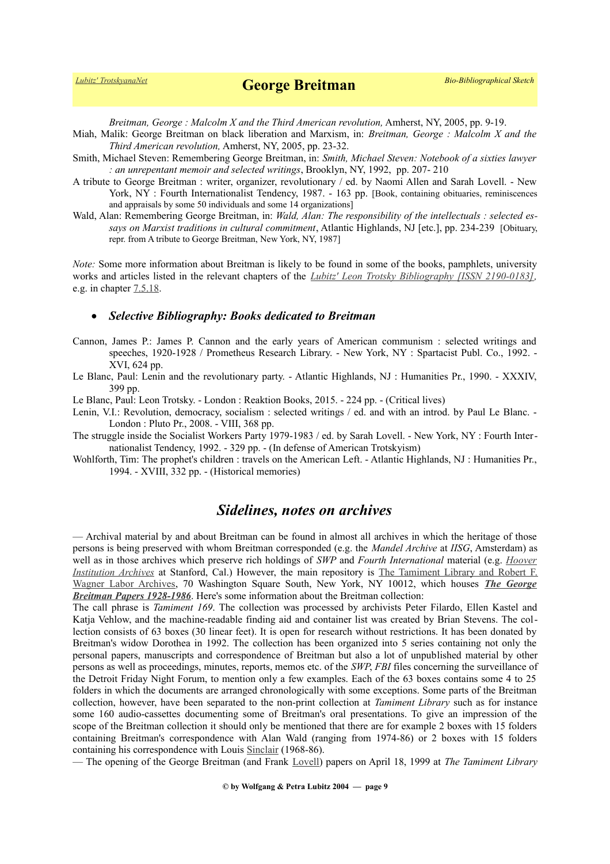*Breitman, George : Malcolm X and the Third American revolution,* Amherst, NY, 2005, pp. 9-19.

- Miah, Malik: George Breitman on black liberation and Marxism, in: *Breitman, George : Malcolm X and the Third American revolution,* Amherst, NY, 2005, pp. 23-32.
- Smith, Michael Steven: Remembering George Breitman, in: *Smith, Michael Steven: Notebook of a sixties lawyer : an unrepentant memoir and selected writings*, Brooklyn, NY, 1992, pp. 207- 210
- A tribute to George Breitman : writer, organizer, revolutionary / ed. by Naomi Allen and Sarah Lovell. New York, NY : Fourth Internationalist Tendency, 1987. - 163 pp. [Book, containing obituaries, reminiscences and appraisals by some 50 individuals and some 14 organizations]
- Wald, Alan: Remembering George Breitman, in: *Wald, Alan: The responsibility of the intellectuals : selected essays on Marxist traditions in cultural commitment*, Atlantic Highlands, NJ [etc.], pp. 234-239 [Obituary, repr. from A tribute to George Breitman, New York, NY, 1987]

*Note:* Some more information about Breitman is likely to be found in some of the books, pamphlets, university works and articles listed in the relevant chapters of the *[Lubitz' Leon Trotsky Bibliography \[ISSN 2190-0183\],](https://www.trotskyana.net/LubitzBibliographies/Trotsky_Bibliography/Leon_Trotsky_Bibliography.html)* e.g. in chapter [7.5.18.](https://www.trotskyana.net/LubitzBibliographies/Trotsky_Bibliography/Leon_Trotsky_Bibliography_07.html#c7.5.18)

#### *Selective Bibliography: Books dedicated to Breitman*

- Cannon, James P.: James P. Cannon and the early years of American communism : selected writings and speeches, 1920-1928 / Prometheus Research Library. - New York, NY : Spartacist Publ. Co., 1992. - XVI, 624 pp.
- Le Blanc, Paul: Lenin and the revolutionary party. Atlantic Highlands, NJ : Humanities Pr., 1990. XXXIV, 399 pp.

Le Blanc, Paul: Leon Trotsky. - London : Reaktion Books, 2015. - 224 pp. - (Critical lives)

- Lenin, V.I.: Revolution, democracy, socialism : selected writings / ed. and with an introd. by Paul Le Blanc. -London : Pluto Pr., 2008. - VIII, 368 pp.
- The struggle inside the Socialist Workers Party 1979-1983 / ed. by Sarah Lovell. New York, NY : Fourth Internationalist Tendency, 1992. - 329 pp. - (In defense of American Trotskyism)
- Wohlforth, Tim: The prophet's children : travels on the American Left. Atlantic Highlands, NJ : Humanities Pr., 1994. - XVIII, 332 pp. - (Historical memories)

## *Sidelines, notes on archives*

— Archival material by and about Breitman can be found in almost all archives in which the heritage of those persons is being preserved with whom Breitman corresponded (e.g. the *Mandel Archive* at *IISG*, Amsterdam) as well as in those archives which preserve rich holdings of *SWP* and *Fourth International* material (e.g. *[Hoover](https://www.trotskyana.net/Research_facilities/PublicArchives_America/publicarchives_america.html#hoover) [Institution Archives](https://www.trotskyana.net/Research_facilities/PublicArchives_America/publicarchives_america.html#hoover)* at Stanford, Cal.) However, the main repository is [The Tamiment Library and Robert F.](https://www.trotskyana.net/Research_facilities/PublicArchives_America/publicarchives_america.html#tamiment) [Wagner Labor Archives,](https://www.trotskyana.net/Research_facilities/PublicArchives_America/publicarchives_america.html#tamiment) 70 Washington Square South, New York, NY 10012, which houses *[The George](http://dlib.nyu.edu/findingaids/html/tamwag/tam_169/index.html) [Breitman Papers 1928-1986](http://dlib.nyu.edu/findingaids/html/tamwag/tam_169/index.html)*. Here's some information about the Breitman collection:

The call phrase is *Tamiment 169*. The collection was processed by archivists Peter Filardo, Ellen Kastel and Katja Vehlow, and the machine-readable finding aid and container list was created by Brian Stevens. The collection consists of 63 boxes (30 linear feet). It is open for research without restrictions. It has been donated by Breitman's widow Dorothea in 1992. The collection has been organized into 5 series containing not only the personal papers, manuscripts and correspondence of Breitman but also a lot of unpublished material by other persons as well as proceedings, minutes, reports, memos etc. of the *SWP*, *FBI* files concerning the surveillance of the Detroit Friday Night Forum, to mention only a few examples. Each of the 63 boxes contains some 4 to 25 folders in which the documents are arranged chronologically with some exceptions. Some parts of the Breitman collection, however, have been separated to the non-print collection at *Tamiment Library* such as for instance some 160 audio-cassettes documenting some of Breitman's oral presentations. To give an impression of the scope of the Breitman collection it should only be mentioned that there are for example 2 boxes with 15 folders containing Breitman's correspondence with Alan Wald (ranging from 1974-86) or 2 boxes with 15 folders containing his correspondence with Louis [Sinclair](https://www.trotskyana.net/Trotskyists/Louis_Sinclair/sinclair.htm) (1968-86).

— The opening of the George Breitman (and Frank [Lovell\)](https://www.trotskyana.net/Trotskyists/Bio-Bibliographies/bio-bibl_lovell_f.pdf) papers on April 18, 1999 at *The Tamiment Library*